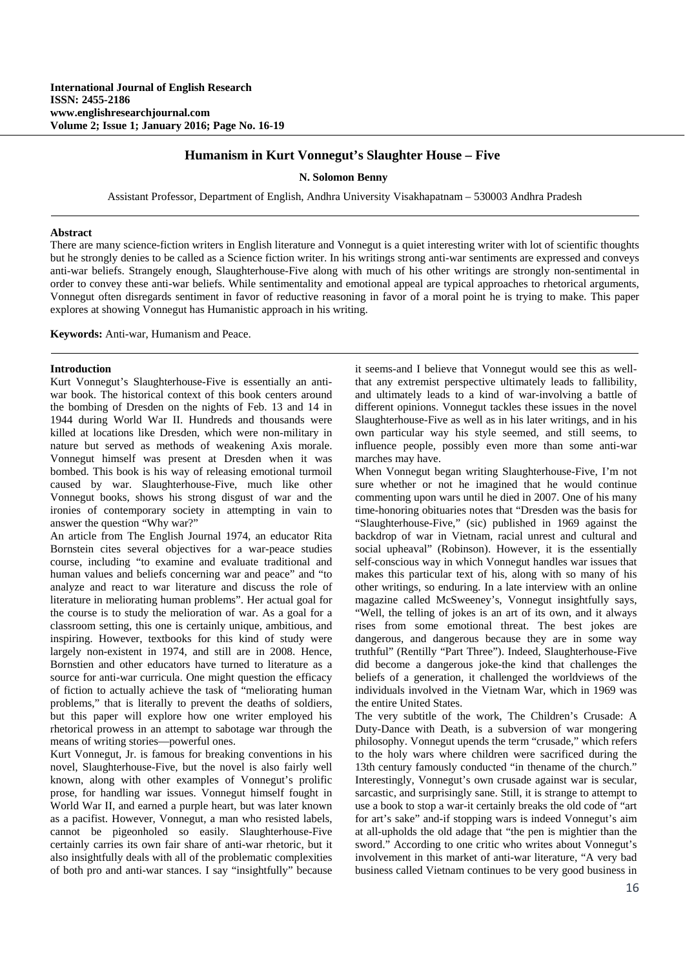# **Humanism in Kurt Vonnegut's Slaughter House – Five**

**N. Solomon Benny** 

Assistant Professor, Department of English, Andhra University Visakhapatnam – 530003 Andhra Pradesh

#### **Abstract**

There are many science-fiction writers in English literature and Vonnegut is a quiet interesting writer with lot of scientific thoughts but he strongly denies to be called as a Science fiction writer. In his writings strong anti-war sentiments are expressed and conveys anti-war beliefs. Strangely enough, Slaughterhouse-Five along with much of his other writings are strongly non-sentimental in order to convey these anti-war beliefs. While sentimentality and emotional appeal are typical approaches to rhetorical arguments, Vonnegut often disregards sentiment in favor of reductive reasoning in favor of a moral point he is trying to make. This paper explores at showing Vonnegut has Humanistic approach in his writing.

**Keywords:** Anti-war, Humanism and Peace.

### **Introduction**

Kurt Vonnegut's Slaughterhouse-Five is essentially an antiwar book. The historical context of this book centers around the bombing of Dresden on the nights of Feb. 13 and 14 in 1944 during World War II. Hundreds and thousands were killed at locations like Dresden, which were non-military in nature but served as methods of weakening Axis morale. Vonnegut himself was present at Dresden when it was bombed. This book is his way of releasing emotional turmoil caused by war. Slaughterhouse-Five, much like other Vonnegut books, shows his strong disgust of war and the ironies of contemporary society in attempting in vain to answer the question "Why war?"

An article from The English Journal 1974, an educator Rita Bornstein cites several objectives for a war-peace studies course, including "to examine and evaluate traditional and human values and beliefs concerning war and peace" and "to analyze and react to war literature and discuss the role of literature in meliorating human problems". Her actual goal for the course is to study the melioration of war. As a goal for a classroom setting, this one is certainly unique, ambitious, and inspiring. However, textbooks for this kind of study were largely non-existent in 1974, and still are in 2008. Hence, Bornstien and other educators have turned to literature as a source for anti-war curricula. One might question the efficacy of fiction to actually achieve the task of "meliorating human problems," that is literally to prevent the deaths of soldiers, but this paper will explore how one writer employed his rhetorical prowess in an attempt to sabotage war through the means of writing stories—powerful ones.

Kurt Vonnegut, Jr. is famous for breaking conventions in his novel, Slaughterhouse-Five, but the novel is also fairly well known, along with other examples of Vonnegut's prolific prose, for handling war issues. Vonnegut himself fought in World War II, and earned a purple heart, but was later known as a pacifist. However, Vonnegut, a man who resisted labels, cannot be pigeonholed so easily. Slaughterhouse-Five certainly carries its own fair share of anti-war rhetoric, but it also insightfully deals with all of the problematic complexities of both pro and anti-war stances. I say "insightfully" because

it seems-and I believe that Vonnegut would see this as wellthat any extremist perspective ultimately leads to fallibility, and ultimately leads to a kind of war-involving a battle of different opinions. Vonnegut tackles these issues in the novel Slaughterhouse-Five as well as in his later writings, and in his own particular way his style seemed, and still seems, to influence people, possibly even more than some anti-war marches may have.

When Vonnegut began writing Slaughterhouse-Five, I'm not sure whether or not he imagined that he would continue commenting upon wars until he died in 2007. One of his many time-honoring obituaries notes that "Dresden was the basis for "Slaughterhouse-Five," (sic) published in 1969 against the backdrop of war in Vietnam, racial unrest and cultural and social upheaval" (Robinson). However, it is the essentially self-conscious way in which Vonnegut handles war issues that makes this particular text of his, along with so many of his other writings, so enduring. In a late interview with an online magazine called McSweeney's, Vonnegut insightfully says, "Well, the telling of jokes is an art of its own, and it always rises from some emotional threat. The best jokes are dangerous, and dangerous because they are in some way truthful" (Rentilly "Part Three"). Indeed, Slaughterhouse-Five did become a dangerous joke-the kind that challenges the beliefs of a generation, it challenged the worldviews of the individuals involved in the Vietnam War, which in 1969 was the entire United States.

The very subtitle of the work, The Children's Crusade: A Duty-Dance with Death, is a subversion of war mongering philosophy. Vonnegut upends the term "crusade," which refers to the holy wars where children were sacrificed during the 13th century famously conducted "in thename of the church." Interestingly, Vonnegut's own crusade against war is secular, sarcastic, and surprisingly sane. Still, it is strange to attempt to use a book to stop a war-it certainly breaks the old code of "art for art's sake" and-if stopping wars is indeed Vonnegut's aim at all-upholds the old adage that "the pen is mightier than the sword." According to one critic who writes about Vonnegut's involvement in this market of anti-war literature, "A very bad business called Vietnam continues to be very good business in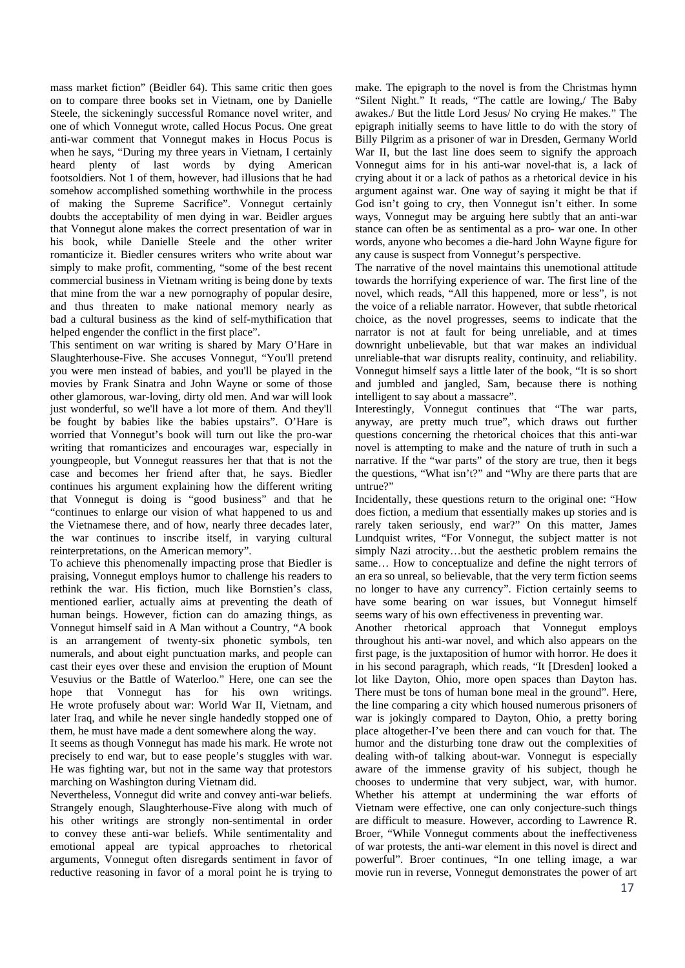mass market fiction" (Beidler 64). This same critic then goes on to compare three books set in Vietnam, one by Danielle Steele, the sickeningly successful Romance novel writer, and one of which Vonnegut wrote, called Hocus Pocus. One great anti-war comment that Vonnegut makes in Hocus Pocus is when he says, "During my three years in Vietnam, I certainly heard plenty of last words by dying American footsoldiers. Not 1 of them, however, had illusions that he had somehow accomplished something worthwhile in the process of making the Supreme Sacrifice". Vonnegut certainly doubts the acceptability of men dying in war. Beidler argues that Vonnegut alone makes the correct presentation of war in his book, while Danielle Steele and the other writer romanticize it. Biedler censures writers who write about war simply to make profit, commenting, "some of the best recent commercial business in Vietnam writing is being done by texts that mine from the war a new pornography of popular desire, and thus threaten to make national memory nearly as bad a cultural business as the kind of self-mythification that helped engender the conflict in the first place".

This sentiment on war writing is shared by Mary O'Hare in Slaughterhouse-Five. She accuses Vonnegut, "You'll pretend you were men instead of babies, and you'll be played in the movies by Frank Sinatra and John Wayne or some of those other glamorous, war-loving, dirty old men. And war will look just wonderful, so we'll have a lot more of them. And they'll be fought by babies like the babies upstairs". O'Hare is worried that Vonnegut's book will turn out like the pro-war writing that romanticizes and encourages war, especially in youngpeople, but Vonnegut reassures her that that is not the case and becomes her friend after that, he says. Biedler continues his argument explaining how the different writing that Vonnegut is doing is "good business" and that he "continues to enlarge our vision of what happened to us and the Vietnamese there, and of how, nearly three decades later, the war continues to inscribe itself, in varying cultural reinterpretations, on the American memory".

To achieve this phenomenally impacting prose that Biedler is praising, Vonnegut employs humor to challenge his readers to rethink the war. His fiction, much like Bornstien's class, mentioned earlier, actually aims at preventing the death of human beings. However, fiction can do amazing things, as Vonnegut himself said in A Man without a Country, "A book is an arrangement of twenty-six phonetic symbols, ten numerals, and about eight punctuation marks, and people can cast their eyes over these and envision the eruption of Mount Vesuvius or the Battle of Waterloo." Here, one can see the hope that Vonnegut has for his own writings. He wrote profusely about war: World War II, Vietnam, and later Iraq, and while he never single handedly stopped one of them, he must have made a dent somewhere along the way.

It seems as though Vonnegut has made his mark. He wrote not precisely to end war, but to ease people's stuggles with war. He was fighting war, but not in the same way that protestors marching on Washington during Vietnam did.

Nevertheless, Vonnegut did write and convey anti-war beliefs. Strangely enough, Slaughterhouse-Five along with much of his other writings are strongly non-sentimental in order to convey these anti-war beliefs. While sentimentality and emotional appeal are typical approaches to rhetorical arguments, Vonnegut often disregards sentiment in favor of reductive reasoning in favor of a moral point he is trying to

make. The epigraph to the novel is from the Christmas hymn "Silent Night." It reads, "The cattle are lowing,/ The Baby awakes./ But the little Lord Jesus/ No crying He makes." The epigraph initially seems to have little to do with the story of Billy Pilgrim as a prisoner of war in Dresden, Germany World War II, but the last line does seem to signify the approach Vonnegut aims for in his anti-war novel-that is, a lack of crying about it or a lack of pathos as a rhetorical device in his argument against war. One way of saying it might be that if God isn't going to cry, then Vonnegut isn't either. In some ways, Vonnegut may be arguing here subtly that an anti-war stance can often be as sentimental as a pro- war one. In other words, anyone who becomes a die-hard John Wayne figure for any cause is suspect from Vonnegut's perspective.

The narrative of the novel maintains this unemotional attitude towards the horrifying experience of war. The first line of the novel, which reads, "All this happened, more or less", is not the voice of a reliable narrator. However, that subtle rhetorical choice, as the novel progresses, seems to indicate that the narrator is not at fault for being unreliable, and at times downright unbelievable, but that war makes an individual unreliable-that war disrupts reality, continuity, and reliability. Vonnegut himself says a little later of the book, "It is so short and jumbled and jangled, Sam, because there is nothing intelligent to say about a massacre".

Interestingly, Vonnegut continues that "The war parts, anyway, are pretty much true", which draws out further questions concerning the rhetorical choices that this anti-war novel is attempting to make and the nature of truth in such a narrative. If the "war parts" of the story are true, then it begs the questions, "What isn't?" and "Why are there parts that are untrue?"

Incidentally, these questions return to the original one: "How does fiction, a medium that essentially makes up stories and is rarely taken seriously, end war?" On this matter, James Lundquist writes, "For Vonnegut, the subject matter is not simply Nazi atrocity…but the aesthetic problem remains the same… How to conceptualize and define the night terrors of an era so unreal, so believable, that the very term fiction seems no longer to have any currency". Fiction certainly seems to have some bearing on war issues, but Vonnegut himself seems wary of his own effectiveness in preventing war.

Another rhetorical approach that Vonnegut employs throughout his anti-war novel, and which also appears on the first page, is the juxtaposition of humor with horror. He does it in his second paragraph, which reads, "It [Dresden] looked a lot like Dayton, Ohio, more open spaces than Dayton has. There must be tons of human bone meal in the ground". Here, the line comparing a city which housed numerous prisoners of war is jokingly compared to Dayton, Ohio, a pretty boring place altogether-I've been there and can vouch for that. The humor and the disturbing tone draw out the complexities of dealing with-of talking about-war. Vonnegut is especially aware of the immense gravity of his subject, though he chooses to undermine that very subject, war, with humor. Whether his attempt at undermining the war efforts of Vietnam were effective, one can only conjecture-such things are difficult to measure. However, according to Lawrence R. Broer, "While Vonnegut comments about the ineffectiveness of war protests, the anti-war element in this novel is direct and powerful". Broer continues, "In one telling image, a war movie run in reverse, Vonnegut demonstrates the power of art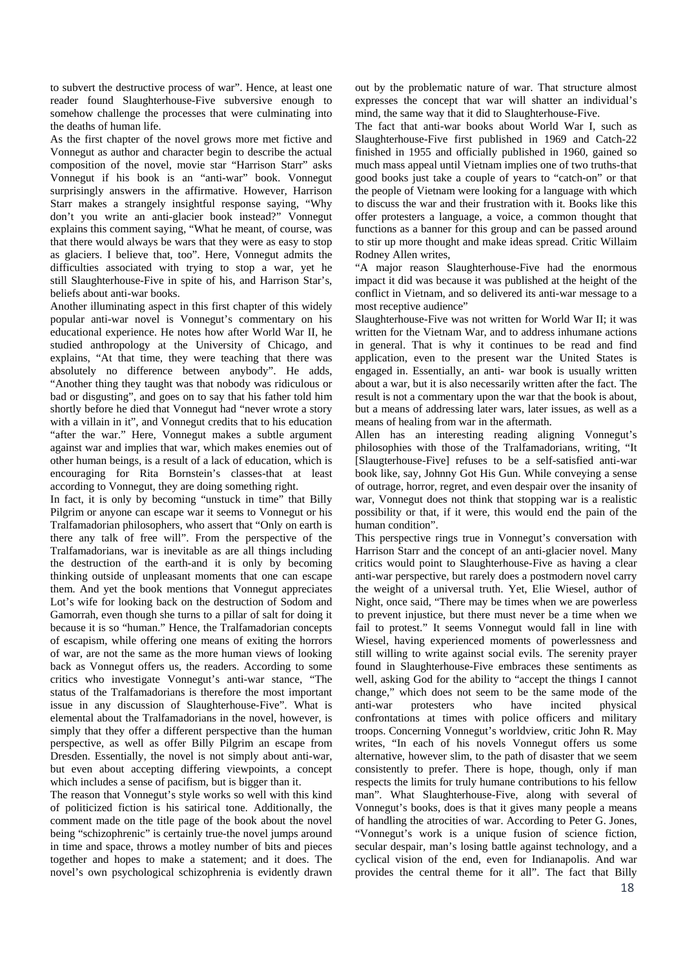to subvert the destructive process of war". Hence, at least one reader found Slaughterhouse-Five subversive enough to somehow challenge the processes that were culminating into the deaths of human life.

As the first chapter of the novel grows more met fictive and Vonnegut as author and character begin to describe the actual composition of the novel, movie star "Harrison Starr" asks Vonnegut if his book is an "anti-war" book. Vonnegut surprisingly answers in the affirmative. However, Harrison Starr makes a strangely insightful response saying, "Why don't you write an anti-glacier book instead?" Vonnegut explains this comment saying, "What he meant, of course, was that there would always be wars that they were as easy to stop as glaciers. I believe that, too". Here, Vonnegut admits the difficulties associated with trying to stop a war, yet he still Slaughterhouse-Five in spite of his, and Harrison Star's, beliefs about anti-war books.

Another illuminating aspect in this first chapter of this widely popular anti-war novel is Vonnegut's commentary on his educational experience. He notes how after World War II, he studied anthropology at the University of Chicago, and explains, "At that time, they were teaching that there was absolutely no difference between anybody". He adds, "Another thing they taught was that nobody was ridiculous or bad or disgusting", and goes on to say that his father told him shortly before he died that Vonnegut had "never wrote a story with a villain in it", and Vonnegut credits that to his education "after the war." Here, Vonnegut makes a subtle argument against war and implies that war, which makes enemies out of other human beings, is a result of a lack of education, which is encouraging for Rita Bornstein's classes-that at least according to Vonnegut, they are doing something right.

In fact, it is only by becoming "unstuck in time" that Billy Pilgrim or anyone can escape war it seems to Vonnegut or his Tralfamadorian philosophers, who assert that "Only on earth is there any talk of free will". From the perspective of the Tralfamadorians, war is inevitable as are all things including the destruction of the earth-and it is only by becoming thinking outside of unpleasant moments that one can escape them. And yet the book mentions that Vonnegut appreciates Lot's wife for looking back on the destruction of Sodom and Gamorrah, even though she turns to a pillar of salt for doing it because it is so "human." Hence, the Tralfamadorian concepts of escapism, while offering one means of exiting the horrors of war, are not the same as the more human views of looking back as Vonnegut offers us, the readers. According to some critics who investigate Vonnegut's anti-war stance, "The status of the Tralfamadorians is therefore the most important issue in any discussion of Slaughterhouse-Five". What is elemental about the Tralfamadorians in the novel, however, is simply that they offer a different perspective than the human perspective, as well as offer Billy Pilgrim an escape from Dresden. Essentially, the novel is not simply about anti-war, but even about accepting differing viewpoints, a concept which includes a sense of pacifism, but is bigger than it.

The reason that Vonnegut's style works so well with this kind of politicized fiction is his satirical tone. Additionally, the comment made on the title page of the book about the novel being "schizophrenic" is certainly true-the novel jumps around in time and space, throws a motley number of bits and pieces together and hopes to make a statement; and it does. The novel's own psychological schizophrenia is evidently drawn out by the problematic nature of war. That structure almost expresses the concept that war will shatter an individual's mind, the same way that it did to Slaughterhouse-Five.

The fact that anti-war books about World War I, such as Slaughterhouse-Five first published in 1969 and Catch-22 finished in 1955 and officially published in 1960, gained so much mass appeal until Vietnam implies one of two truths-that good books just take a couple of years to "catch-on" or that the people of Vietnam were looking for a language with which to discuss the war and their frustration with it. Books like this offer protesters a language, a voice, a common thought that functions as a banner for this group and can be passed around to stir up more thought and make ideas spread. Critic Willaim Rodney Allen writes,

"A major reason Slaughterhouse-Five had the enormous impact it did was because it was published at the height of the conflict in Vietnam, and so delivered its anti-war message to a most receptive audience"

Slaughterhouse-Five was not written for World War II; it was written for the Vietnam War, and to address inhumane actions in general. That is why it continues to be read and find application, even to the present war the United States is engaged in. Essentially, an anti- war book is usually written about a war, but it is also necessarily written after the fact. The result is not a commentary upon the war that the book is about, but a means of addressing later wars, later issues, as well as a means of healing from war in the aftermath.

Allen has an interesting reading aligning Vonnegut's philosophies with those of the Tralfamadorians, writing, "It [Slaugterhouse-Five] refuses to be a self-satisfied anti-war book like, say, Johnny Got His Gun. While conveying a sense of outrage, horror, regret, and even despair over the insanity of war, Vonnegut does not think that stopping war is a realistic possibility or that, if it were, this would end the pain of the human condition".

This perspective rings true in Vonnegut's conversation with Harrison Starr and the concept of an anti-glacier novel. Many critics would point to Slaughterhouse-Five as having a clear anti-war perspective, but rarely does a postmodern novel carry the weight of a universal truth. Yet, Elie Wiesel, author of Night, once said, "There may be times when we are powerless to prevent injustice, but there must never be a time when we fail to protest." It seems Vonnegut would fall in line with Wiesel, having experienced moments of powerlessness and still willing to write against social evils. The serenity prayer found in Slaughterhouse-Five embraces these sentiments as well, asking God for the ability to "accept the things I cannot change," which does not seem to be the same mode of the anti-war protesters who have incited physical confrontations at times with police officers and military troops. Concerning Vonnegut's worldview, critic John R. May writes, "In each of his novels Vonnegut offers us some alternative, however slim, to the path of disaster that we seem consistently to prefer. There is hope, though, only if man respects the limits for truly humane contributions to his fellow man". What Slaughterhouse-Five, along with several of Vonnegut's books, does is that it gives many people a means of handling the atrocities of war. According to Peter G. Jones, "Vonnegut's work is a unique fusion of science fiction, secular despair, man's losing battle against technology, and a cyclical vision of the end, even for Indianapolis. And war provides the central theme for it all". The fact that Billy